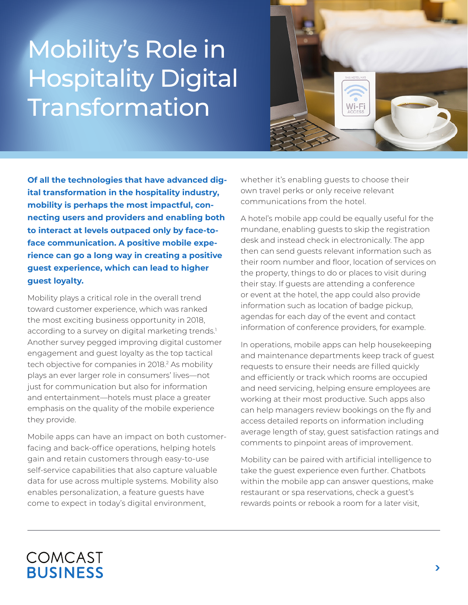## Mobility's Role in Hospitality Digital Transformation



**Of all the technologies that have advanced digital transformation in the hospitality industry, mobility is perhaps the most impactful, connecting users and providers and enabling both to interact at levels outpaced only by face-toface communication. A positive mobile experience can go a long way in creating a positive guest experience, which can lead to higher guest loyalty.**

Mobility plays a critical role in the overall trend toward customer experience, which was ranked the most exciting business opportunity in 2018, according to a survey on digital marketing trends.<sup>1</sup> Another survey pegged improving digital customer engagement and guest loyalty as the top tactical tech objective for companies in 2018.<sup>2</sup> As mobility plays an ever larger role in consumers' lives—not just for communication but also for information and entertainment—hotels must place a greater emphasis on the quality of the mobile experience they provide.

Mobile apps can have an impact on both customerfacing and back-office operations, helping hotels gain and retain customers through easy-to-use self-service capabilities that also capture valuable data for use across multiple systems. Mobility also enables personalization, a feature guests have come to expect in today's digital environment,

whether it's enabling guests to choose their own travel perks or only receive relevant communications from the hotel.

A hotel's mobile app could be equally useful for the mundane, enabling guests to skip the registration desk and instead check in electronically. The app then can send guests relevant information such as their room number and floor, location of services on the property, things to do or places to visit during their stay. If guests are attending a conference or event at the hotel, the app could also provide information such as location of badge pickup, agendas for each day of the event and contact information of conference providers, for example.

In operations, mobile apps can help housekeeping and maintenance departments keep track of guest requests to ensure their needs are filled quickly and efficiently or track which rooms are occupied and need servicing, helping ensure employees are working at their most productive. Such apps also can help managers review bookings on the fly and access detailed reports on information including average length of stay, guest satisfaction ratings and comments to pinpoint areas of improvement.

Mobility can be paired with artificial intelligence to take the guest experience even further. Chatbots within the mobile app can answer questions, make restaurant or spa reservations, check a guest's rewards points or rebook a room for a later visit,

## COMCAST **BUSINESS**